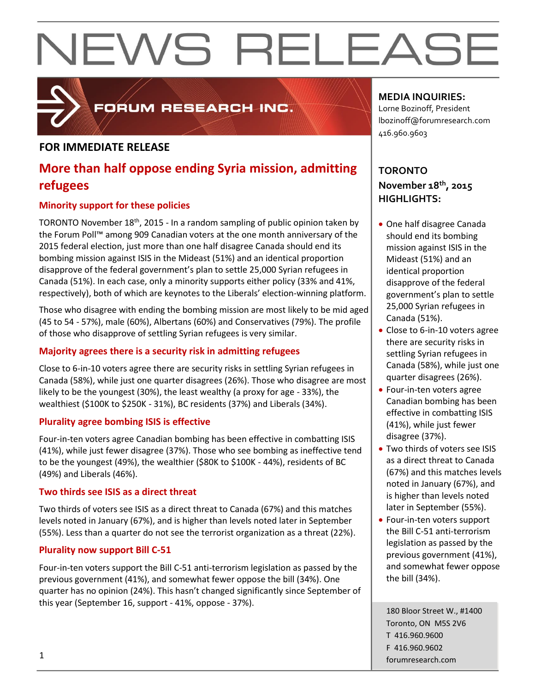

### FORUM RESEARCH INC.

### **FOR IMMEDIATE RELEASE**

### **More than half oppose ending Syria mission, admitting refugees**

### **Minority support for these policies**

TORONTO November 18th, 2015 - In a random sampling of public opinion taken by the Forum Poll™ among 909 Canadian voters at the one month anniversary of the 2015 federal election, just more than one half disagree Canada should end its bombing mission against ISIS in the Mideast (51%) and an identical proportion disapprove of the federal government's plan to settle 25,000 Syrian refugees in Canada (51%). In each case, only a minority supports either policy (33% and 41%, respectively), both of which are keynotes to the Liberals' election-winning platform.

Those who disagree with ending the bombing mission are most likely to be mid aged (45 to 54 - 57%), male (60%), Albertans (60%) and Conservatives (79%). The profile of those who disapprove of settling Syrian refugees is very similar.

### **Majority agrees there is a security risk in admitting refugees**

Close to 6-in-10 voters agree there are security risks in settling Syrian refugees in Canada (58%), while just one quarter disagrees (26%). Those who disagree are most likely to be the youngest (30%), the least wealthy (a proxy for age - 33%), the wealthiest (\$100K to \$250K - 31%), BC residents (37%) and Liberals (34%).

### **Plurality agree bombing ISIS is effective**

Four-in-ten voters agree Canadian bombing has been effective in combatting ISIS (41%), while just fewer disagree (37%). Those who see bombing as ineffective tend to be the youngest (49%), the wealthier (\$80K to \$100K - 44%), residents of BC (49%) and Liberals (46%).

### **Two thirds see ISIS as a direct threat**

Two thirds of voters see ISIS as a direct threat to Canada (67%) and this matches levels noted in January (67%), and is higher than levels noted later in September (55%). Less than a quarter do not see the terrorist organization as a threat (22%).

### **Plurality now support Bill C-51**

Four-in-ten voters support the Bill C-51 anti-terrorism legislation as passed by the previous government (41%), and somewhat fewer oppose the bill (34%). One quarter has no opinion (24%). This hasn't changed significantly since September of this year (September 16, support - 41%, oppose - 37%).

### **MEDIA INQUIRIES:**

Lorne Bozinoff, President lbozinoff@forumresearch.com 416.960.9603

### **TORONTO November 18th, 2015 HIGHLIGHTS:**

- One half disagree Canada should end its bombing mission against ISIS in the Mideast (51%) and an identical proportion disapprove of the federal government's plan to settle 25,000 Syrian refugees in Canada (51%).
- Close to 6-in-10 voters agree there are security risks in settling Syrian refugees in Canada (58%), while just one quarter disagrees (26%).
- Four-in-ten voters agree Canadian bombing has been effective in combatting ISIS (41%), while just fewer disagree (37%).
- Two thirds of voters see ISIS as a direct threat to Canada (67%) and this matches levels noted in January (67%), and is higher than levels noted later in September (55%).
- Four-in-ten voters support the Bill C-51 anti-terrorism legislation as passed by the previous government (41%), and somewhat fewer oppose the bill (34%).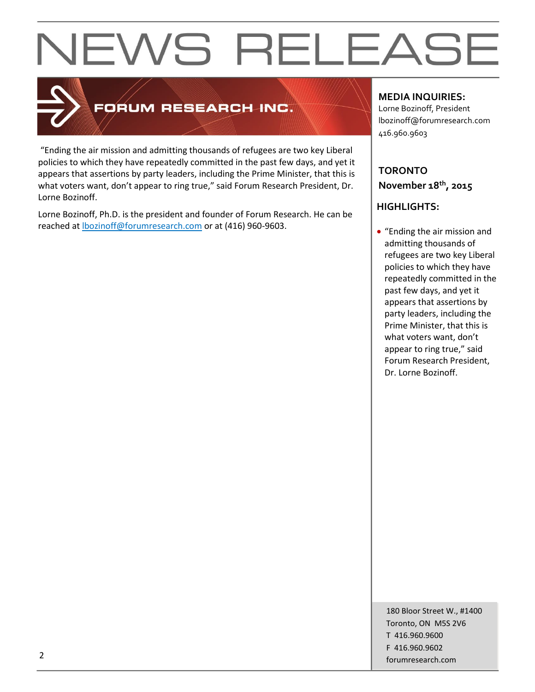

### FORUM RESEARCH INC.

"Ending the air mission and admitting thousands of refugees are two key Liberal policies to which they have repeatedly committed in the past few days, and yet it appears that assertions by party leaders, including the Prime Minister, that this is what voters want, don't appear to ring true," said Forum Research President, Dr. Lorne Bozinoff.

Lorne Bozinoff, Ph.D. is the president and founder of Forum Research. He can be reached at [lbozinoff@forumresearch.com](mailto:lbozinoff@forumresearch.com) or at (416) 960-9603.

### **MEDIA INQUIRIES:**

Lorne Bozinoff, President lbozinoff@forumresearch.com 416.960.9603

### **TORONTO November 18th, 2015**

### **HIGHLIGHTS:**

 "Ending the air mission and admitting thousands of refugees are two key Liberal policies to which they have repeatedly committed in the past few days, and yet it appears that assertions by party leaders, including the Prime Minister, that this is what voters want, don't appear to ring true," said Forum Research President, Dr. Lorne Bozinoff.

180 Bloor Street W., #1400 Toronto, ON M5S 2V6 T 416.960.9600 F 416.960.9602 example to the contract of the contract of the contract of the contract of the contract of the contract of the contract of the contract of the contract of the contract of the contract of the contract of the contract of the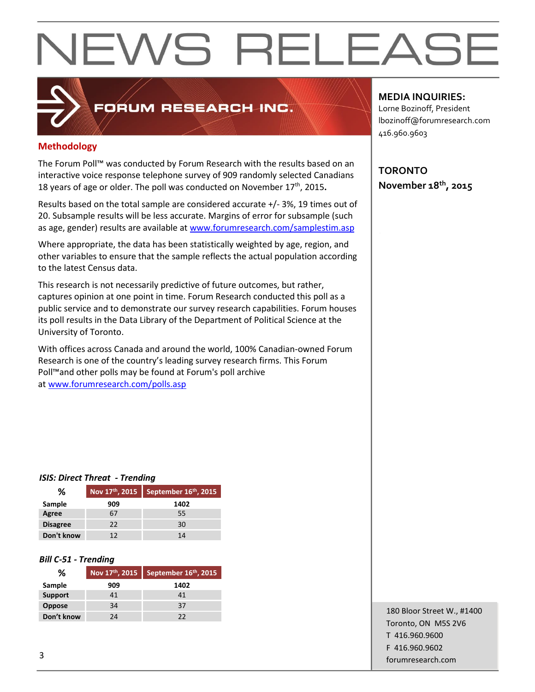### FORUM RESEARCH INC.

### **Methodology**

The Forum Poll™ was conducted by Forum Research with the results based on an interactive voice response telephone survey of 909 randomly selected Canadians 18 years of age or older. The poll was conducted on November 17<sup>th</sup>, 2015.

Results based on the total sample are considered accurate +/- 3%, 19 times out of 20. Subsample results will be less accurate. Margins of error for subsample (such as age, gender) results are available at [www.forumresearch.com/samplestim.asp](http://www.forumresearch.com/samplestim.asp)

Where appropriate, the data has been statistically weighted by age, region, and other variables to ensure that the sample reflects the actual population according to the latest Census data.

This research is not necessarily predictive of future outcomes, but rather, captures opinion at one point in time. Forum Research conducted this poll as a public service and to demonstrate our survey research capabilities. Forum houses its poll results in the Data Library of the Department of Political Science at the University of Toronto.

With offices across Canada and around the world, 100% Canadian-owned Forum Research is one of the country's leading survey research firms. This Forum Poll™and other polls may be found at Forum's poll archive at [www.forumresearch.com/polls.asp](http://www.forumresearch.com/polls.asp)

### **MEDIA INQUIRIES:**

Lorne Bozinoff, President lbozinoff@forumresearch.com 416.960.9603

**TORONTO November 18th, 2015**

### *ISIS: Direct Threat - Trending*

| ℅               | Nov 17th, 2015 | September 16th, 2015 |
|-----------------|----------------|----------------------|
| Sample          | 909            | 1402                 |
| Agree           | 67             | 55                   |
| <b>Disagree</b> | 22             | 30                   |
| Don't know      | 12             | 14                   |

### *Bill C-51 - Trending*

| %              |     | Nov 17 <sup>th</sup> , 2015   September 16 <sup>th</sup> , 2015 |
|----------------|-----|-----------------------------------------------------------------|
| Sample         | 909 | 1402                                                            |
| <b>Support</b> | 41  | 41                                                              |
| <b>Oppose</b>  | 34  | 37                                                              |
| Don't know     | 24  | つつ                                                              |

180 Bloor Street W., #1400 Toronto, ON M5S 2V6 T 416.960.9600 F 416.960.9602 forumresearch.com and the set of the set of the set of the set of the set of the set of the set of the set of the set of the set of the set of the set of the set of the set of the set of the set of the set of the set of th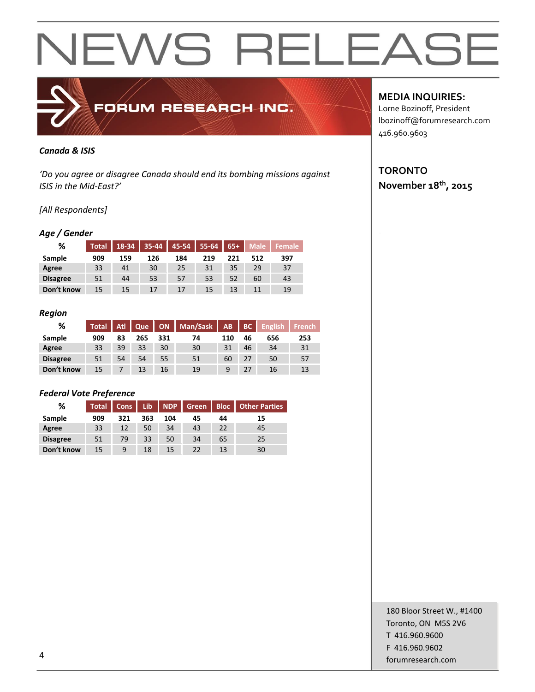### FORUM RESEARCH INC.

### *Canada & ISIS*

*'Do you agree or disagree Canada should end its bombing missions against ISIS in the Mid-East?'*

### *[All Respondents]*

### *Age / Gender*

| %               | <b>Total</b> | 18-34 | 35-44 | 45-54 | 55-64 | $65+$ | <b>Male</b> | Female |
|-----------------|--------------|-------|-------|-------|-------|-------|-------------|--------|
| Sample          | 909          | 159   | 126   | 184   | 219   | 221   | 512         | 397    |
| Agree           | 33           | 41    | 30    | 25    | 31    | 35    | 29          | 37     |
| <b>Disagree</b> | 51           | 44    | 53    | 57    | 53    | 52    | 60          | 43     |
| Don't know      | 15           | 15    | 17    | 17    | 15    | 13    |             | 19     |

### *Region*

| %               | <b>Total</b> | Atl | Que | <b>ON</b> | Man/Sask | AB  | <b>BC</b> | <b>English</b> | <b>French</b> |
|-----------------|--------------|-----|-----|-----------|----------|-----|-----------|----------------|---------------|
| Sample          | 909          | 83  | 265 | 331       | 74       | 110 | 46        | 656            | 253           |
| Agree           | 33           | 39  | 33  | 30        | 30       | 31  | 46        | 34             | 31            |
| <b>Disagree</b> | 51           | 54  | 54  | 55        | 51       | 60  | 27        | 50             | 57            |
| Don't know      | 15           |     | 13  | 16        | 19       | 9   | 27        | 16             | 13            |

### *Federal Vote Preference*

| %               | <b>Total</b> | Cons | Lib | <b>NDP</b> | Green | <b>Bloc</b> | <b>Other Parties</b> |
|-----------------|--------------|------|-----|------------|-------|-------------|----------------------|
| Sample          | 909          | 321  | 363 | 104        | 45    | 44          | 15                   |
| Agree           | 33           | 12   | 50  | 34         | 43    | 22          | 45                   |
| <b>Disagree</b> | 51           | 79   | 33  | 50         | 34    | 65          | 25                   |
| Don't know      | 15           | 9    | 18  | 15         | 22    | 13          | 30                   |

### **MEDIA INQUIRIES:**

Lorne Bozinoff, President lbozinoff@forumresearch.com 416.960.9603

### **TORONTO November 18th, 2015**

180 Bloor Street W., #1400 Toronto, ON M5S 2V6 T 416.960.9600 F 416.960.9602 example to the contract of the contract of the contract of the contract of the contract of the contract of the contract of the contract of the contract of the contract of the contract of the contract of the contract of the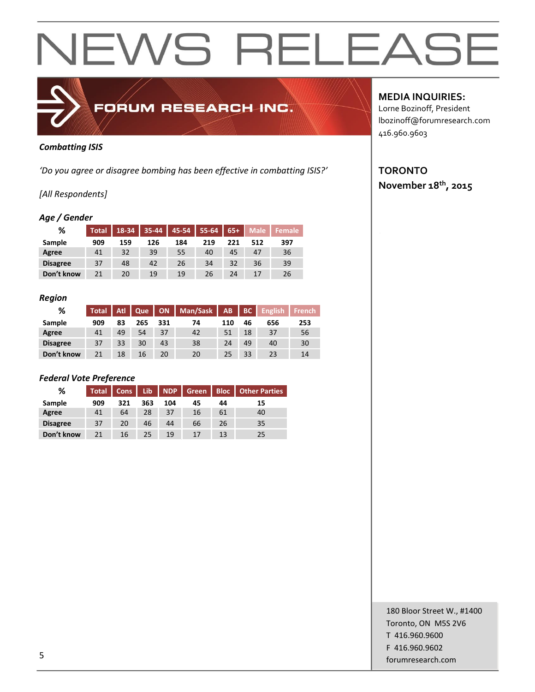

*'Do you agree or disagree bombing has been effective in combatting ISIS?'*

FORUM RESEARCH INC.

### *[All Respondents]*

### *Age / Gender*

| %               | <b>Total</b> | 18-34 | 35-44 | 45-54 | $155-64$ | $65+$ | <b>Male</b> | <b>Female</b> |
|-----------------|--------------|-------|-------|-------|----------|-------|-------------|---------------|
| Sample          | 909          | 159   | 126   | 184   | 219      | 221   | 512         | 397           |
| Agree           | 41           | 32    | 39    | 55    | 40       | 45    | 47          | 36            |
| <b>Disagree</b> | 37           | 48    | 42    | 26    | 34       | 32    | 36          | 39            |
| Don't know      | 21           | 20    | 19    | 19    | 26       | 24    |             | 26            |

### *Region*

| %               | <b>Total</b> | <b>Atl</b> | Que | <b>ON</b> | Man/Sask | <b>AB</b> | BC | <b>English</b> | <b>French</b> |
|-----------------|--------------|------------|-----|-----------|----------|-----------|----|----------------|---------------|
| Sample          | 909          | 83         | 265 | 331       | 74       | 110       | 46 | 656            | 253           |
| Agree           | 41           | 49         | 54  | 37        | 42       | 51        | 18 | 37             | 56            |
| <b>Disagree</b> | 37           | 33         | 30  | 43        | 38       | 24        | 49 | 40             | 30            |
| Don't know      | 21           | 18         | 16  | 20        | 20       | 25        | 33 | 23             | 14            |

### *Federal Vote Preference*

| %               | <b>Total</b> | <b>Cons</b> | Lib | <b>NDP</b> | Green | <b>Bloc</b> | <b>Other Parties</b> |
|-----------------|--------------|-------------|-----|------------|-------|-------------|----------------------|
| Sample          | 909          | 321         | 363 | 104        | 45    | 44          | 15                   |
| Agree           | 41           | 64          | 28  | 37         | 16    | 61          | 40                   |
| <b>Disagree</b> | 37           | 20          | 46  | 44         | 66    | 26          | 35                   |
| Don't know      | 21           | 16          | 25  | 19         | 17    | 13          | 25                   |

**MEDIA INQUIRIES:**

Lorne Bozinoff, President lbozinoff@forumresearch.com 416.960.9603

### **TORONTO November 18th, 2015**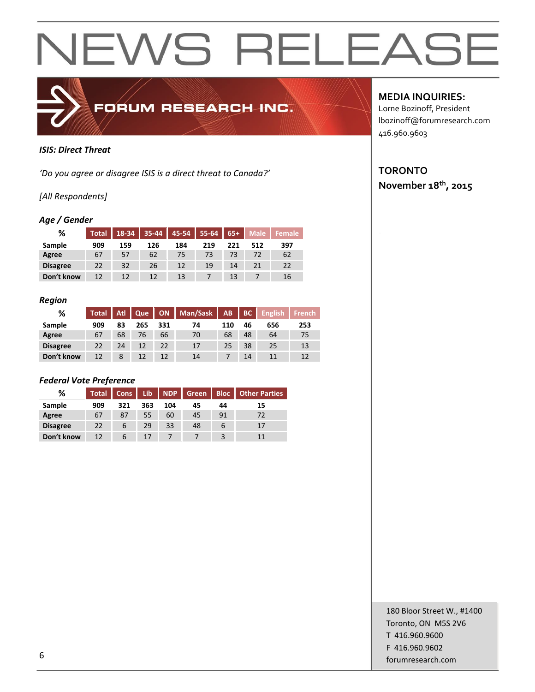

### *ISIS: Direct Threat*

*'Do you agree or disagree ISIS is a direct threat to Canada?'*

### *[All Respondents]*

### *Age / Gender*

| %               | <b>Total</b> | 18-34 | 35-44 | 45-54 | 55-64 | $65+$ | <b>Male</b> | Female |
|-----------------|--------------|-------|-------|-------|-------|-------|-------------|--------|
| Sample          | 909          | 159   | 126   | 184   | 219   | 221   | 512         | 397    |
| Agree           | 67           | 57    | 62    | 75    | 73    | 73    | 72          | 62     |
| <b>Disagree</b> | 22           | 32    | 26    | 12    | 19    | 14    | 21          | 22     |
| Don't know      | 12           | 12    | 12    | 13    |       | 13    |             | 16     |

### *Region*

| %               | <b>Total</b> | Atl. | Que | <b>ON</b> | Man/Sask | AB  | <b>BC</b> | <b>English</b> | French |
|-----------------|--------------|------|-----|-----------|----------|-----|-----------|----------------|--------|
| Sample          | 909          | 83   | 265 | 331       | 74       | 110 | 46        | 656            | 253    |
| Agree           | 67           | 68   | 76  | 66        | 70       | 68  | 48        | 64             | 75     |
| <b>Disagree</b> | 22           | 24   | 12  | 22        | 17       | 25  | 38        | 25             | 13     |
| Don't know      | 12           | 8    |     | 12        | 14       |     | 14        |                | 12     |

### *Federal Vote Preference*

| ℅               | Total | Cons | Lib | <b>NDP</b> | <b>Green</b> | <b>Bloc</b> | <b>Other Parties</b> |
|-----------------|-------|------|-----|------------|--------------|-------------|----------------------|
| Sample          | 909   | 321  | 363 | 104        | 45           | 44          | 15                   |
| Agree           | 67    | 87   | 55  | 60         | 45           | 91          | 72                   |
| <b>Disagree</b> | 22    | 6    | 29  | 33         | 48           | $\mathbf b$ | 17                   |
| Don't know      | 12    | b    | 17  |            |              |             | 11                   |

**MEDIA INQUIRIES:**

Lorne Bozinoff, President lbozinoff@forumresearch.com 416.960.9603

### **TORONTO**

**November 18th, 2015**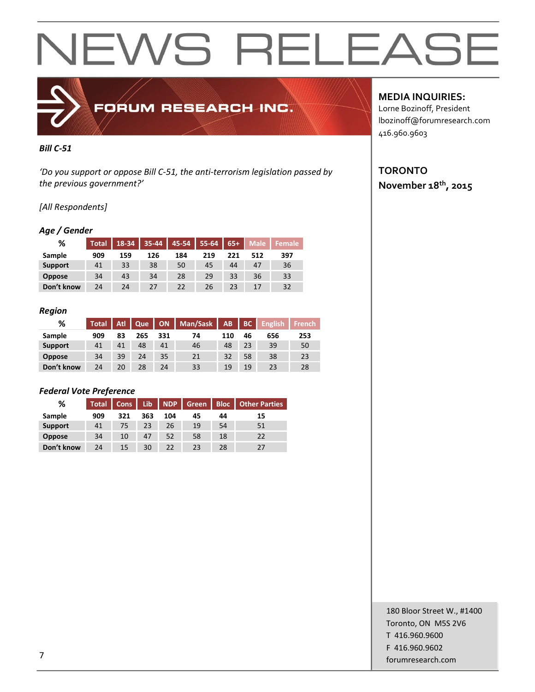### *Bill C-51*

*'Do you support or oppose Bill C-51, the anti-terrorism legislation passed by the previous government?'*

FORUM RESEARCH INC.

### *[All Respondents]*

### *Age / Gender*

| %             | <b>Total</b> | 18-34 | 35-44 | 45-54 | 55-64 | $65+$ | <b>Male</b> | <b>Female</b> |
|---------------|--------------|-------|-------|-------|-------|-------|-------------|---------------|
| Sample        | 909          | 159   | 126   | 184   | 219   | 221   | 512         | 397           |
| Support       | 41           | 33    | 38    | 50    | 45    | 44    | 47          | 36            |
| <b>Oppose</b> | 34           | 43    | 34    | 28    | 29    | 33    | 36          | 33            |
| Don't know    | 24           | 24    | 27    | 22    | 26    | 23    |             | 32            |

### *Region*

| %              | Total Atl Que |    |     | <b>ON</b> | Man/Sask | AB  |    | English | French |
|----------------|---------------|----|-----|-----------|----------|-----|----|---------|--------|
| Sample         | 909           | 83 | 265 | 331       | 74       | 110 | 46 | 656     | 253    |
| <b>Support</b> | 41            | 41 | 48  | 41        | 46       | 48  | 23 | 39      | 50     |
| <b>Oppose</b>  | 34            | 39 | 24  | 35        | 21       | 32  | 58 | 38      | 23     |
| Don't know     | 24            | 20 | 28  | 24        | 33       | 19  | 19 | 23      | 28     |

### *Federal Vote Preference*

| %              | <b>Total</b> | Cons | Lib | <b>NDP</b> | Green | Bloc | <b>Other Parties</b> |
|----------------|--------------|------|-----|------------|-------|------|----------------------|
| Sample         | 909          | 321  | 363 | 104        | 45    | 44   | 15                   |
| <b>Support</b> | 41           | 75   | 23  | 26         | 19    | 54   | 51                   |
| <b>Oppose</b>  | 34           | 10   | 47  | 52         | 58    | 18   | 22                   |
| Don't know     | 24           | 15   | 30  | 22         | 23    | 28   | 27                   |

### **MEDIA INQUIRIES:**

Lorne Bozinoff, President lbozinoff@forumresearch.com 416.960.9603

### **TORONTO November 18th, 2015**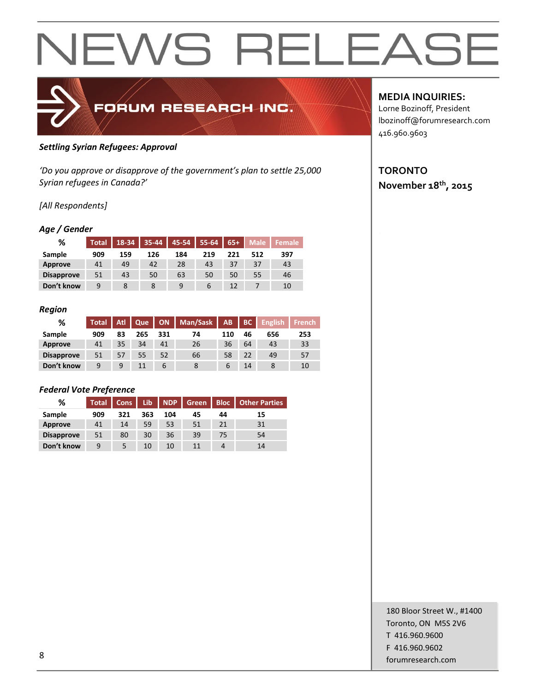

### *Settling Syrian Refugees: Approval*

*'Do you approve or disapprove of the government's plan to settle 25,000 Syrian refugees in Canada?'*

### *[All Respondents]*

### *Age / Gender*

| %                 | <b>Total</b> | 18-34 | $35 - 44$ | $45-54$ | $55 - 64$ | $65+$ | <b>Male</b> | <b>Female</b> ' |
|-------------------|--------------|-------|-----------|---------|-----------|-------|-------------|-----------------|
| Sample            | 909          | 159   | 126       | 184     | 219       | 221   | 512         | 397             |
| Approve           | 41           | 49    | 42        | 28      | 43        | 37    | 37          | 43              |
| <b>Disapprove</b> | 51           | 43    | 50        | 63      | 50        | 50    | 55          | 46              |
| Don't know        | 9            |       |           | 9       | 6         |       |             | 10              |

### *Region*

| %                 | Total   Atl |    | Que | <b>ON</b> | Man/Sask | AB  | <b>BC</b> | $\blacksquare$ English | <b>French</b> |
|-------------------|-------------|----|-----|-----------|----------|-----|-----------|------------------------|---------------|
| Sample            | 909         | 83 | 265 | 331       | 74       | 110 | 46        | 656                    | 253           |
| Approve           | 41          | 35 | 34  | 41        | 26       | 36  | 64        | 43                     | 33            |
| <b>Disapprove</b> | 51          | 57 | 55  | 52        | 66       | 58  | 22        | 49                     | 57            |
| Don't know        | 9           | 9  |     | 6         |          | b   | 14        |                        | 10            |

### *Federal Vote Preference*

| %                 | <b>Total</b> | <b>Cons</b> | Lib | <b>NDP</b> | Green | <b>Bloc</b> | <b>Other Parties</b> |
|-------------------|--------------|-------------|-----|------------|-------|-------------|----------------------|
| Sample            | 909          | 321         | 363 | 104        | 45    | 44          | 15                   |
| <b>Approve</b>    | 41           | 14          | 59  | 53         | 51    | 21          | 31                   |
| <b>Disapprove</b> | 51           | 80          | 30  | 36         | 39    | 75          | 54                   |
| Don't know        | 9            |             | 10  | 10         |       |             | 14                   |

### **MEDIA INQUIRIES:**

Lorne Bozinoff, President lbozinoff@forumresearch.com 416.960.9603

### **TORONTO November 18th, 2015**

180 Bloor Street W., #1400 Toronto, ON M5S 2V6 T 416.960.9600 F 416.960.9602 end to the state of the state of the state of the state of the state of the state of the state of the state of the state of the state of the state of the state of the state of the state of the state of the state of the sta